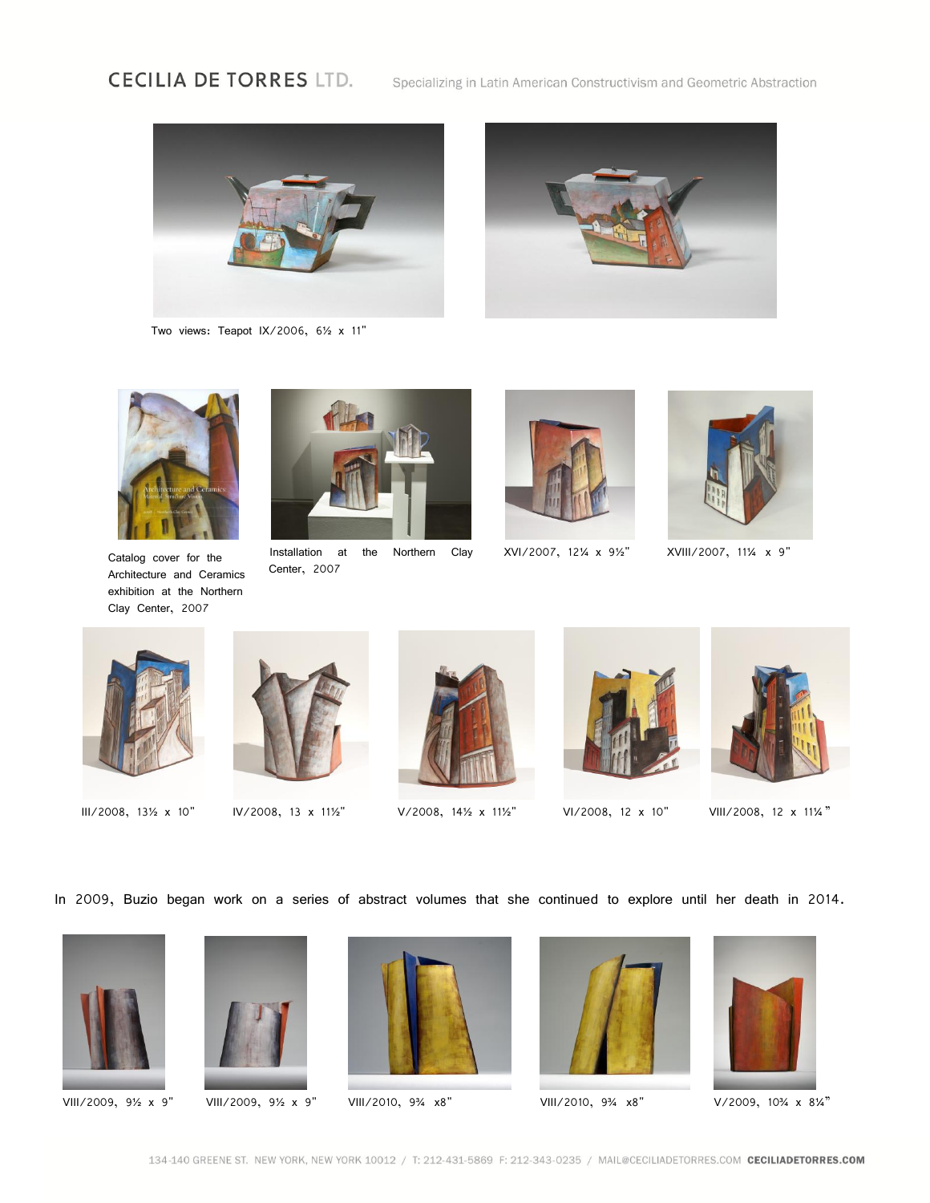## **CECILIA DE TORRES LTD.**

Specializing in Latin American Constructivism and Geometric Abstraction



Two views: Teapot IX/2006, 6½ x 11"





Catalog cover for the Architecture and Ceramics exhibition at the Northern Clay Center, 2007



Installation at the Northern Clay Center, 2007



XVI/2007, 12¼ x 9½" XVIII/2007, 11¼ x 9"













III/2008, 13½ x 10" IV/2008, 13 x 11½" V/2008, 14½ x 11½" VI/2008, 12 x 10" VIII/2008, 12 x 11¼ "

In 2009, Buzio began work on a series of abstract volumes that she continued to explore until her death in 2014.







VIII/2009, 9½ x 9" VIII/2009, 9½ x 9" VIII/2010, 9¾ x8" VIII/2010, 9¾ x8" V/2009, 10¾ x 8¼"